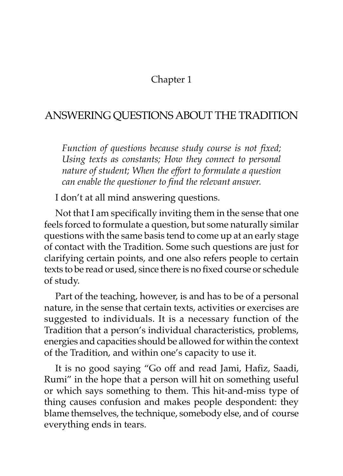## Chapter 1

## ANSWERING QUESTIONS ABOUT THE TRADITION

*Function of questions because study course is not fixed; Using texts as constants; How they connect to personal nature of student; When the effort to formulate a question can enable the questioner to find the relevant answer.*

I don't at all mind answering questions.

Not that I am specifically inviting them in the sense that one feels forced to formulate a question, but some naturally similar questions with the same basis tend to come up at an early stage of contact with the Tradition. Some such questions are just for clarifying certain points, and one also refers people to certain texts to be read or used, since there is no fixed course or schedule of study.

Part of the teaching, however, is and has to be of a personal nature, in the sense that certain texts, activities or exercises are suggested to individuals. It is a necessary function of the Tradition that a person's individual characteristics, problems, energies and capacities should be allowed for within the context of the Tradition, and within one's capacity to use it.

It is no good saying "Go off and read Jami, Hafiz, Saadi, Rumi" in the hope that a person will hit on something useful or which says something to them. This hit-and-miss type of thing causes confusion and makes people despondent: they blame themselves, the technique, somebody else, and of course everything ends in tears.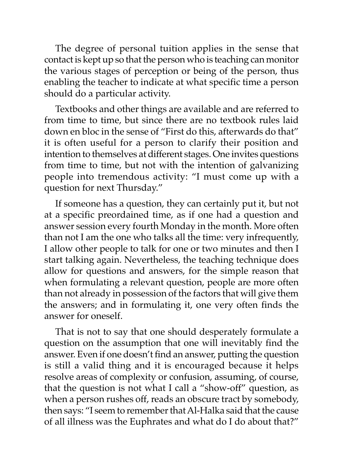The degree of personal tuition applies in the sense that contact is kept up so that the person who is teaching can monitor the various stages of perception or being of the person, thus enabling the teacher to indicate at what specific time a person should do a particular activity.

Textbooks and other things are available and are referred to from time to time, but since there are no textbook rules laid down en bloc in the sense of "First do this, afterwards do that" it is often useful for a person to clarify their position and intention to themselves at different stages. One invites questions from time to time, but not with the intention of galvanizing people into tremendous activity: "I must come up with a question for next Thursday."

If someone has a question, they can certainly put it, but not at a specific preordained time, as if one had a question and answer session every fourth Monday in the month. More often than not I am the one who talks all the time: very infrequently, I allow other people to talk for one or two minutes and then I start talking again. Nevertheless, the teaching technique does allow for questions and answers, for the simple reason that when formulating a relevant question, people are more often than not already in possession of the factors that will give them the answers; and in formulating it, one very often finds the answer for oneself.

That is not to say that one should desperately formulate a question on the assumption that one will inevitably find the answer. Even if one doesn't find an answer, putting the question is still a valid thing and it is encouraged because it helps resolve areas of complexity or confusion, assuming, of course, that the question is not what I call a "show-off" question, as when a person rushes off, reads an obscure tract by somebody, then says: "I seem to remember that Al-Halka said that the cause of all illness was the Euphrates and what do I do about that?"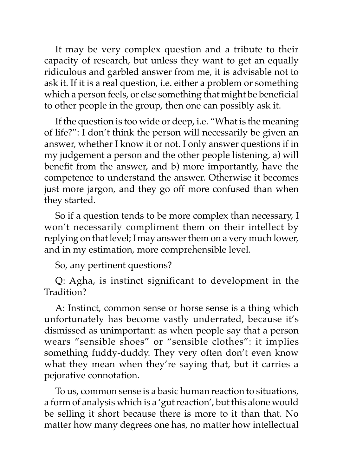It may be very complex question and a tribute to their capacity of research, but unless they want to get an equally ridiculous and garbled answer from me, it is advisable not to ask it. If it is a real question, i.e. either a problem or something which a person feels, or else something that might be beneficial to other people in the group, then one can possibly ask it.

If the question is too wide or deep, i.e. "What is the meaning of life?": I don't think the person will necessarily be given an answer, whether I know it or not. I only answer questions if in my judgement a person and the other people listening, a) will benefit from the answer, and b) more importantly, have the competence to understand the answer. Otherwise it becomes just more jargon, and they go off more confused than when they started.

So if a question tends to be more complex than necessary, I won't necessarily compliment them on their intellect by replying on that level; I may answer them on a very much lower, and in my estimation, more comprehensible level.

So, any pertinent questions?

Q: Agha, is instinct significant to development in the Tradition?

A: Instinct, common sense or horse sense is a thing which unfortunately has become vastly underrated, because it's dismissed as unimportant: as when people say that a person wears "sensible shoes" or "sensible clothes": it implies something fuddy-duddy. They very often don't even know what they mean when they're saying that, but it carries a pejorative connotation.

To us, common sense is a basic human reaction to situations, a form of analysis which is a 'gut reaction', but this alone would be selling it short because there is more to it than that. No matter how many degrees one has, no matter how intellectual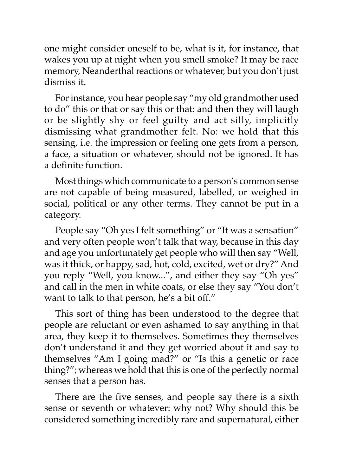one might consider oneself to be, what is it, for instance, that wakes you up at night when you smell smoke? It may be race memory, Neanderthal reactions or whatever, but you don't just dismiss it.

For instance, you hear people say "my old grandmother used to do" this or that or say this or that: and then they will laugh or be slightly shy or feel guilty and act silly, implicitly dismissing what grandmother felt. No: we hold that this sensing, i.e. the impression or feeling one gets from a person, a face, a situation or whatever, should not be ignored. It has a definite function.

Most things which communicate to a person's common sense are not capable of being measured, labelled, or weighed in social, political or any other terms. They cannot be put in a category.

People say "Oh yes I felt something" or "It was a sensation" and very often people won't talk that way, because in this day and age you unfortunately get people who will then say "Well, was it thick, or happy, sad, hot, cold, excited, wet or dry?" And you reply "Well, you know...", and either they say "Oh yes" and call in the men in white coats, or else they say "You don't want to talk to that person, he's a bit off."

This sort of thing has been understood to the degree that people are reluctant or even ashamed to say anything in that area, they keep it to themselves. Sometimes they themselves don't understand it and they get worried about it and say to themselves "Am I going mad?" or "Is this a genetic or race thing?"; whereas we hold that this is one of the perfectly normal senses that a person has.

There are the five senses, and people say there is a sixth sense or seventh or whatever: why not? Why should this be considered something incredibly rare and supernatural, either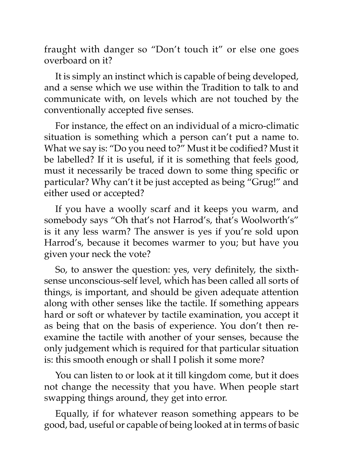fraught with danger so "Don't touch it" or else one goes overboard on it?

It is simply an instinct which is capable of being developed, and a sense which we use within the Tradition to talk to and communicate with, on levels which are not touched by the conventionally accepted five senses.

For instance, the effect on an individual of a micro-climatic situation is something which a person can't put a name to. What we say is: "Do you need to?" Must it be codified? Must it be labelled? If it is useful, if it is something that feels good, must it necessarily be traced down to some thing specific or particular? Why can't it be just accepted as being "Grug!" and either used or accepted?

If you have a woolly scarf and it keeps you warm, and somebody says "Oh that's not Harrod's, that's Woolworth's" is it any less warm? The answer is yes if you're sold upon Harrod's, because it becomes warmer to you; but have you given your neck the vote?

So, to answer the question: yes, very definitely, the sixthsense unconscious-self level, which has been called all sorts of things, is important, and should be given adequate attention along with other senses like the tactile. If something appears hard or soft or whatever by tactile examination, you accept it as being that on the basis of experience. You don't then reexamine the tactile with another of your senses, because the only judgement which is required for that particular situation is: this smooth enough or shall I polish it some more?

You can listen to or look at it till kingdom come, but it does not change the necessity that you have. When people start swapping things around, they get into error.

Equally, if for whatever reason something appears to be good, bad, useful or capable of being looked at in terms of basic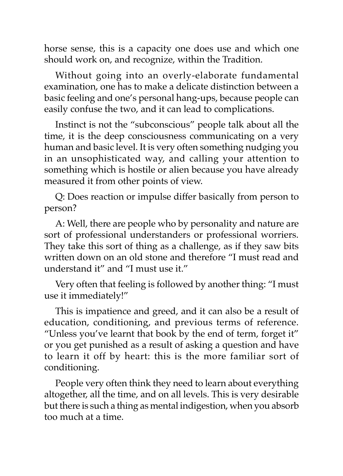horse sense, this is a capacity one does use and which one should work on, and recognize, within the Tradition.

Without going into an overly-elaborate fundamental examination, one has to make a delicate distinction between a basic feeling and one's personal hang-ups, because people can easily confuse the two, and it can lead to complications.

Instinct is not the "subconscious" people talk about all the time, it is the deep consciousness communicating on a very human and basic level. It is very often something nudging you in an unsophisticated way, and calling your attention to something which is hostile or alien because you have already measured it from other points of view.

Q: Does reaction or impulse differ basically from person to person?

A: Well, there are people who by personality and nature are sort of professional understanders or professional worriers. They take this sort of thing as a challenge, as if they saw bits written down on an old stone and therefore "I must read and understand it" and "I must use it."

Very often that feeling is followed by another thing: "I must use it immediately!"

This is impatience and greed, and it can also be a result of education, conditioning, and previous terms of reference. "Unless you've learnt that book by the end of term, forget it" or you get punished as a result of asking a question and have to learn it off by heart: this is the more familiar sort of conditioning.

People very often think they need to learn about everything altogether, all the time, and on all levels. This is very desirable but there is such a thing as mental indigestion, when you absorb too much at a time.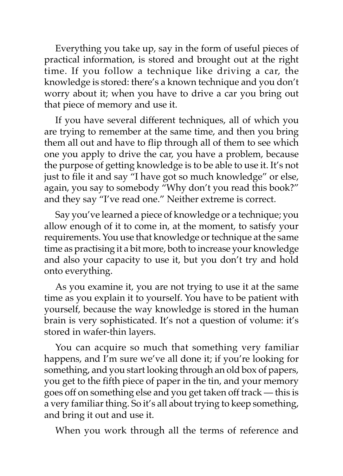Everything you take up, say in the form of useful pieces of practical information, is stored and brought out at the right time. If you follow a technique like driving a car, the knowledge is stored: there's a known technique and you don't worry about it; when you have to drive a car you bring out that piece of memory and use it.

If you have several different techniques, all of which you are trying to remember at the same time, and then you bring them all out and have to flip through all of them to see which one you apply to drive the car, you have a problem, because the purpose of getting knowledge is to be able to use it. It's not just to file it and say "I have got so much knowledge" or else, again, you say to somebody "Why don't you read this book?" and they say "I've read one." Neither extreme is correct.

Say you've learned a piece of knowledge or a technique; you allow enough of it to come in, at the moment, to satisfy your requirements. You use that knowledge or technique at the same time as practising it a bit more, both to increase your knowledge and also your capacity to use it, but you don't try and hold onto everything.

As you examine it, you are not trying to use it at the same time as you explain it to yourself. You have to be patient with yourself, because the way knowledge is stored in the human brain is very sophisticated. It's not a question of volume: it's stored in wafer-thin layers.

You can acquire so much that something very familiar happens, and I'm sure we've all done it; if you're looking for something, and you start looking through an old box of papers, you get to the fifth piece of paper in the tin, and your memory goes off on something else and you get taken off track — this is a very familiar thing. So it's all about trying to keep something, and bring it out and use it.

When you work through all the terms of reference and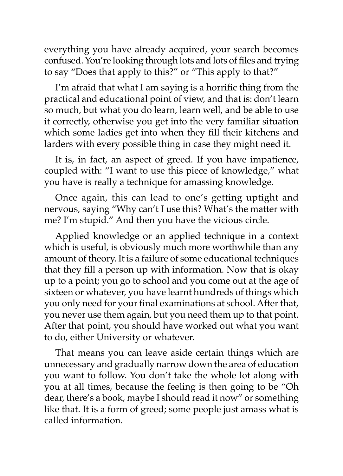everything you have already acquired, your search becomes confused. You're looking through lots and lots of files and trying to say "Does that apply to this?" or "This apply to that?"

I'm afraid that what I am saying is a horrific thing from the practical and educational point of view, and that is: don't learn so much, but what you do learn, learn well, and be able to use it correctly, otherwise you get into the very familiar situation which some ladies get into when they fill their kitchens and larders with every possible thing in case they might need it.

It is, in fact, an aspect of greed. If you have impatience, coupled with: "I want to use this piece of knowledge," what you have is really a technique for amassing knowledge.

Once again, this can lead to one's getting uptight and nervous, saying "Why can't I use this? What's the matter with me? I'm stupid." And then you have the vicious circle.

Applied knowledge or an applied technique in a context which is useful, is obviously much more worthwhile than any amount of theory. It is a failure of some educational techniques that they fill a person up with information. Now that is okay up to a point; you go to school and you come out at the age of sixteen or whatever, you have learnt hundreds of things which you only need for your final examinations at school. After that, you never use them again, but you need them up to that point. After that point, you should have worked out what you want to do, either University or whatever.

That means you can leave aside certain things which are unnecessary and gradually narrow down the area of education you want to follow. You don't take the whole lot along with you at all times, because the feeling is then going to be "Oh dear, there's a book, maybe I should read it now" or something like that. It is a form of greed; some people just amass what is called information.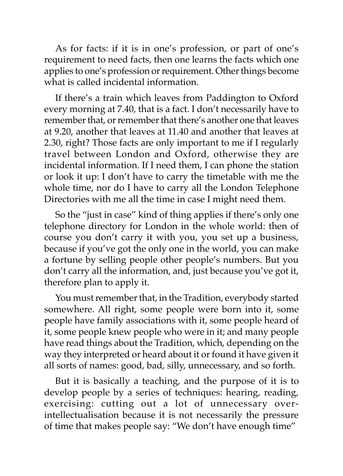As for facts: if it is in one's profession, or part of one's requirement to need facts, then one learns the facts which one applies to one's profession or requirement. Other things become what is called incidental information.

If there's a train which leaves from Paddington to Oxford every morning at 7.40, that is a fact. I don't necessarily have to remember that, or remember that there's another one that leaves at 9.20, another that leaves at 11.40 and another that leaves at 2.30, right? Those facts are only important to me if I regularly travel between London and Oxford, otherwise they are incidental information. If I need them, I can phone the station or look it up: I don't have to carry the timetable with me the whole time, nor do I have to carry all the London Telephone Directories with me all the time in case I might need them.

So the "just in case" kind of thing applies if there's only one telephone directory for London in the whole world: then of course you don't carry it with you, you set up a business, because if you've got the only one in the world, you can make a fortune by selling people other people's numbers. But you don't carry all the information, and, just because you've got it, therefore plan to apply it.

You must remember that, in the Tradition, everybody started somewhere. All right, some people were born into it, some people have family associations with it, some people heard of it, some people knew people who were in it; and many people have read things about the Tradition, which, depending on the way they interpreted or heard about it or found it have given it all sorts of names: good, bad, silly, unnecessary, and so forth.

But it is basically a teaching, and the purpose of it is to develop people by a series of techniques: hearing, reading, exercising: cutting out a lot of unnecessary overintellectualisation because it is not necessarily the pressure of time that makes people say: "We don't have enough time"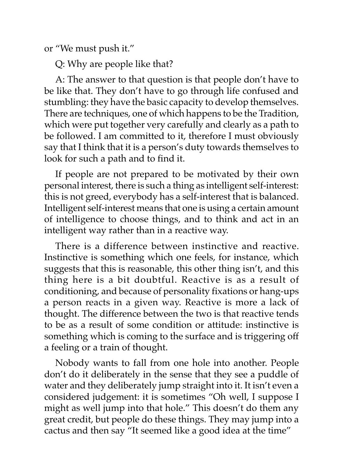or "We must push it."

Q: Why are people like that?

A: The answer to that question is that people don't have to be like that. They don't have to go through life confused and stumbling: they have the basic capacity to develop themselves. There are techniques, one of which happens to be the Tradition, which were put together very carefully and clearly as a path to be followed. I am committed to it, therefore I must obviously say that I think that it is a person's duty towards themselves to look for such a path and to find it.

If people are not prepared to be motivated by their own personal interest, there is such a thing as intelligent self-interest: this is not greed, everybody has a self-interest that is balanced. Intelligent self-interest means that one is using a certain amount of intelligence to choose things, and to think and act in an intelligent way rather than in a reactive way.

There is a difference between instinctive and reactive. Instinctive is something which one feels, for instance, which suggests that this is reasonable, this other thing isn't, and this thing here is a bit doubtful. Reactive is as a result of conditioning, and because of personality fixations or hang-ups a person reacts in a given way. Reactive is more a lack of thought. The difference between the two is that reactive tends to be as a result of some condition or attitude: instinctive is something which is coming to the surface and is triggering off a feeling or a train of thought.

Nobody wants to fall from one hole into another. People don't do it deliberately in the sense that they see a puddle of water and they deliberately jump straight into it. It isn't even a considered judgement: it is sometimes "Oh well, I suppose I might as well jump into that hole." This doesn't do them any great credit, but people do these things. They may jump into a cactus and then say "It seemed like a good idea at the time"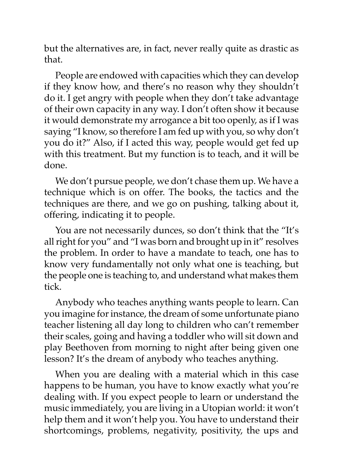but the alternatives are, in fact, never really quite as drastic as that.

People are endowed with capacities which they can develop if they know how, and there's no reason why they shouldn't do it. I get angry with people when they don't take advantage of their own capacity in any way. I don't often show it because it would demonstrate my arrogance a bit too openly, as if I was saying "I know, so therefore I am fed up with you, so why don't you do it?" Also, if I acted this way, people would get fed up with this treatment. But my function is to teach, and it will be done.

We don't pursue people, we don't chase them up. We have a technique which is on offer. The books, the tactics and the techniques are there, and we go on pushing, talking about it, offering, indicating it to people.

You are not necessarily dunces, so don't think that the "It's all right for you" and "I was born and brought up in it" resolves the problem. In order to have a mandate to teach, one has to know very fundamentally not only what one is teaching, but the people one is teaching to, and understand what makes them tick.

Anybody who teaches anything wants people to learn. Can you imagine for instance, the dream of some unfortunate piano teacher listening all day long to children who can't remember their scales, going and having a toddler who will sit down and play Beethoven from morning to night after being given one lesson? It's the dream of anybody who teaches anything.

When you are dealing with a material which in this case happens to be human, you have to know exactly what you're dealing with. If you expect people to learn or understand the music immediately, you are living in a Utopian world: it won't help them and it won't help you. You have to understand their shortcomings, problems, negativity, positivity, the ups and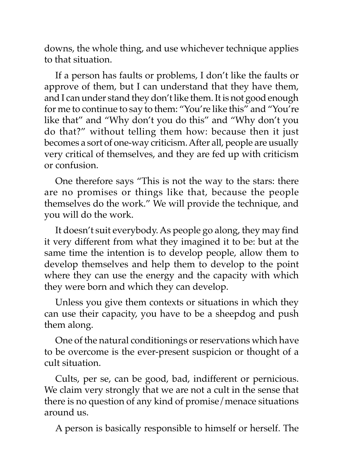downs, the whole thing, and use whichever technique applies to that situation.

If a person has faults or problems, I don't like the faults or approve of them, but I can understand that they have them, and I can under stand they don't like them. It is not good enough for me to continue to say to them: "You're like this" and "You're like that" and "Why don't you do this" and "Why don't you do that?" without telling them how: because then it just becomes a sort of one-way criticism. After all, people are usually very critical of themselves, and they are fed up with criticism or confusion.

One therefore says "This is not the way to the stars: there are no promises or things like that, because the people themselves do the work." We will provide the technique, and you will do the work.

It doesn't suit everybody. As people go along, they may find it very different from what they imagined it to be: but at the same time the intention is to develop people, allow them to develop themselves and help them to develop to the point where they can use the energy and the capacity with which they were born and which they can develop.

Unless you give them contexts or situations in which they can use their capacity, you have to be a sheepdog and push them along.

One of the natural conditionings or reservations which have to be overcome is the ever-present suspicion or thought of a cult situation.

Cults, per se, can be good, bad, indifferent or pernicious. We claim very strongly that we are not a cult in the sense that there is no question of any kind of promise/menace situations around us.

A person is basically responsible to himself or herself. The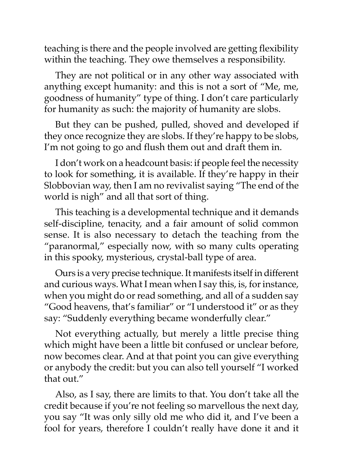teaching is there and the people involved are getting flexibility within the teaching. They owe themselves a responsibility.

They are not political or in any other way associated with anything except humanity: and this is not a sort of "Me, me, goodness of humanity" type of thing. I don't care particularly for humanity as such: the majority of humanity are slobs.

But they can be pushed, pulled, shoved and developed if they once recognize they are slobs. If they're happy to be slobs, I'm not going to go and flush them out and draft them in.

I don't work on a headcount basis: if people feel the necessity to look for something, it is available. If they're happy in their Slobbovian way, then I am no revivalist saying "The end of the world is nigh" and all that sort of thing.

This teaching is a developmental technique and it demands self-discipline, tenacity, and a fair amount of solid common sense. It is also necessary to detach the teaching from the "paranormal," especially now, with so many cults operating in this spooky, mysterious, crystal-ball type of area.

Ours is a very precise technique. It manifests itself in different and curious ways. What I mean when I say this, is, for instance, when you might do or read something, and all of a sudden say "Good heavens, that's familiar" or "I understood it" or as they say: "Suddenly everything became wonderfully clear."

Not everything actually, but merely a little precise thing which might have been a little bit confused or unclear before, now becomes clear. And at that point you can give everything or anybody the credit: but you can also tell yourself "I worked that out."

Also, as I say, there are limits to that. You don't take all the credit because if you're not feeling so marvellous the next day, you say "It was only silly old me who did it, and I've been a fool for years, therefore I couldn't really have done it and it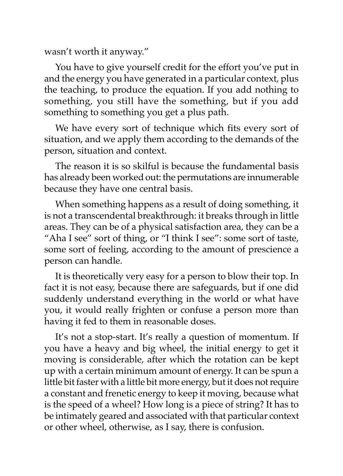wasn't worth it anyway."

You have to give yourself credit for the effort you've put in and the energy you have generated in a particular context, plus the teaching, to produce the equation. If you add nothing to something, you still have the something, but if you add something to something you get a plus path.

We have every sort of technique which fits every sort of situation, and we apply them according to the demands of the person, situation and context.

The reason it is so skilful is because the fundamental basis has already been worked out: the permutations are innumerable because they have one central basis.

When something happens as a result of doing something, it is not a transcendental breakthrough: it breaks through in little areas. They can be of a physical satisfaction area, they can be a "Aha I see" sort of thing, or "I think I see": some sort of taste, some sort of feeling, according to the amount of prescience a person can handle.

It is theoretically very easy for a person to blow their top. In fact it is not easy, because there are safeguards, but if one did suddenly understand everything in the world or what have you, it would really frighten or confuse a person more than having it fed to them in reasonable doses.

It's not a stop-start. It's really a question of momentum. If you have a heavy and big wheel, the initial energy to get it moving is considerable, after which the rotation can be kept up with a certain minimum amount of energy. It can be spun a little bit faster with a little bit more energy, but it does not require a constant and frenetic energy to keep it moving, because what is the speed of a wheel? How long is a piece of string? It has to be intimately geared and associated with that particular context or other wheel, otherwise, as I say, there is confusion.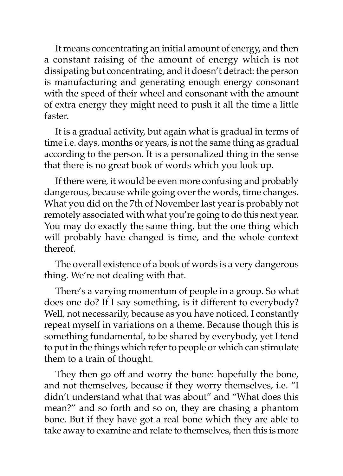It means concentrating an initial amount of energy, and then a constant raising of the amount of energy which is not dissipating but concentrating, and it doesn't detract: the person is manufacturing and generating enough energy consonant with the speed of their wheel and consonant with the amount of extra energy they might need to push it all the time a little faster.

It is a gradual activity, but again what is gradual in terms of time i.e. days, months or years, is not the same thing as gradual according to the person. It is a personalized thing in the sense that there is no great book of words which you look up.

If there were, it would be even more confusing and probably dangerous, because while going over the words, time changes. What you did on the 7th of November last year is probably not remotely associated with what you're going to do this next year. You may do exactly the same thing, but the one thing which will probably have changed is time, and the whole context thereof.

The overall existence of a book of words is a very dangerous thing. We're not dealing with that.

There's a varying momentum of people in a group. So what does one do? If I say something, is it different to everybody? Well, not necessarily, because as you have noticed, I constantly repeat myself in variations on a theme. Because though this is something fundamental, to be shared by everybody, yet I tend to put in the things which refer to people or which can stimulate them to a train of thought.

They then go off and worry the bone: hopefully the bone, and not themselves, because if they worry themselves, i.e. "I didn't understand what that was about" and "What does this mean?" and so forth and so on, they are chasing a phantom bone. But if they have got a real bone which they are able to take away to examine and relate to themselves, then this is more